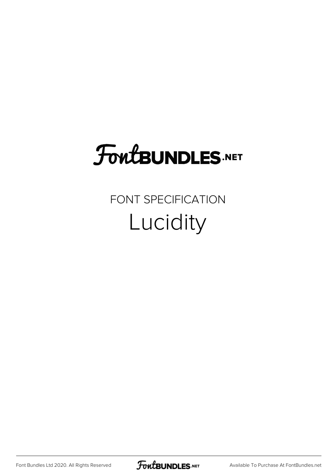## FoutBUNDLES.NET

#### FONT SPECIFICATION Lucidity

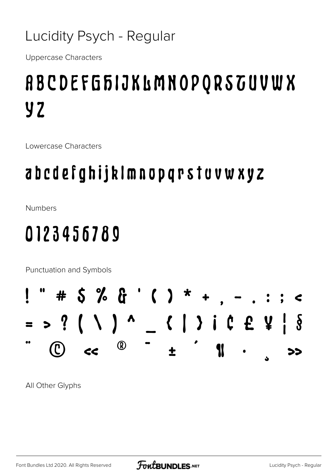#### Lucidity Psych - Regular

**Uppercase Characters** 

## **ABCDEFGFIJKLMNOPQRSTUVWX y2**

Lowercase Characters

#### abcdefghijklmnopqrstuvwxyz

**Numbers** 

### 0123456789

Punctuation and Symbols

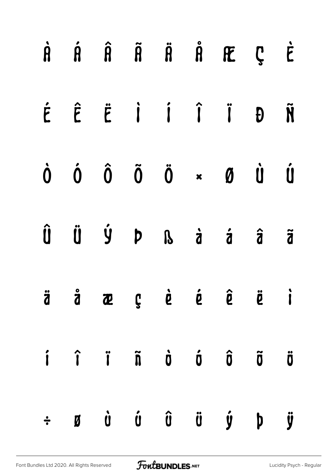|  |  |  | $\dot{A}$ $\dot{A}$ $\dot{B}$ $\ddot{B}$ $\ddot{B}$ $\dot{B}$ $\ddot{C}$ $\dot{C}$                                                                                                                |  |
|--|--|--|---------------------------------------------------------------------------------------------------------------------------------------------------------------------------------------------------|--|
|  |  |  | É Ê Ë İ Í Î Ï Đ Ñ                                                                                                                                                                                 |  |
|  |  |  | $\begin{matrix} \dot{0} & \dot{0} & \dot{0} & \ddot{0} & \ddot{0} & \ast & \mathbf{0} & \dot{0} & \dot{0} \end{matrix}$                                                                           |  |
|  |  |  | Û Ü Ý Þ ß à á â ã                                                                                                                                                                                 |  |
|  |  |  | äåæçèéê ë i                                                                                                                                                                                       |  |
|  |  |  | $\hat{\mathbf{i}}$ $\hat{\mathbf{i}}$ $\hat{\mathbf{i}}$ $\hat{\mathbf{n}}$ $\hat{\mathbf{o}}$ $\hat{\mathbf{o}}$ $\hat{\mathbf{o}}$ $\hat{\mathbf{o}}$ $\hat{\mathbf{o}}$                        |  |
|  |  |  | $\div$ $\boldsymbol{B}$ $\boldsymbol{0}$ $\boldsymbol{0}$ $\boldsymbol{0}$ $\boldsymbol{0}$ $\boldsymbol{0}$ $\boldsymbol{0}$ $\boldsymbol{0}$ $\boldsymbol{0}$ $\boldsymbol{0}$ $\boldsymbol{0}$ |  |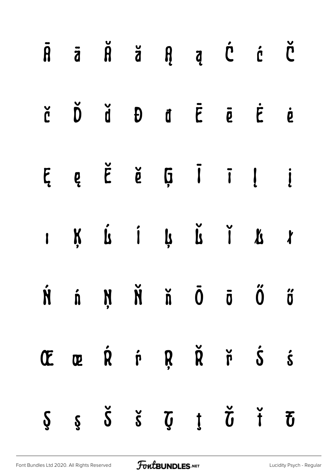|  |  | $\begin{array}{ccccccccccccccccc} \tilde{A} & \tilde{B} & \tilde{C} & \tilde{C} & \tilde{A} & \tilde{B} & \tilde{B} & \tilde{B} & \tilde{B} & \tilde{B} & \tilde{B} & \tilde{B} & \tilde{B} & \tilde{B} & \tilde{B} & \tilde{B} & \tilde{B} & \tilde{B} & \tilde{B} & \tilde{B} & \tilde{B} & \tilde{B} & \tilde{B} & \tilde{B} & \tilde{B} & \tilde{B} & \tilde{B} & \tilde{B} & \tilde{B} & \tilde{B}$ |  |  |
|--|--|----------------------------------------------------------------------------------------------------------------------------------------------------------------------------------------------------------------------------------------------------------------------------------------------------------------------------------------------------------------------------------------------------------|--|--|
|  |  | $\check{C}$ $\check{D}$ $\check{d}$ $\theta$ $\check{d}$ $\check{E}$ $\check{e}$ $\check{e}$                                                                                                                                                                                                                                                                                                             |  |  |
|  |  | $E \quad e \quad \check{E} \quad \check{e} \quad \check{g} \quad \bar{1} \quad \bar{1} \quad \underline{i}$                                                                                                                                                                                                                                                                                              |  |  |
|  |  |                                                                                                                                                                                                                                                                                                                                                                                                          |  |  |
|  |  | $\begin{array}{ccccccccccccc} \hat{N} & \hat{n} & \hat{N} & \hat{N} & \hat{N} & \hat{0} & \hat{0} & \hat{0} & \hat{0} & \hat{0} & \hat{0} & \hat{0} & \hat{0} & \hat{0} & \hat{0} & \hat{0} & \hat{0} & \hat{0} & \hat{0} & \hat{0} & \hat{0} & \hat{0} & \hat{0} & \hat{0} & \hat{0} & \hat{0} & \hat{0} & \hat{0} & \hat{0} & \hat{0} & \hat{0} & \hat{0} & \hat{0} & \hat{0} & \hat{0} & \$           |  |  |
|  |  | Œ œ Ŕ ŕ Ŗ Ř ř Ś ś                                                                                                                                                                                                                                                                                                                                                                                        |  |  |
|  |  | $\zeta$ $\zeta$ $\zeta$ $\zeta$ $\zeta$ $\zeta$ $\zeta$ $\zeta$                                                                                                                                                                                                                                                                                                                                          |  |  |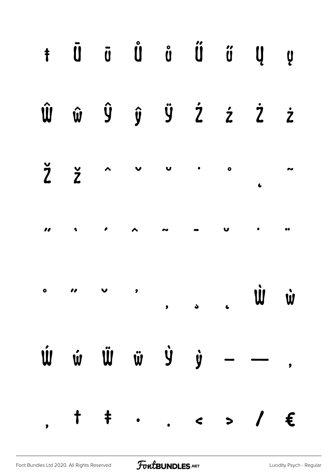|  |  |  | $\hat{\textbf{W}}\hspace{0.2cm} \hat{\textbf{w}}\hspace{0.2cm} \hat{\textbf{y}}\hspace{0.2cm} \hat{\textbf{y}}\hspace{0.2cm} \hat{\textbf{z}}\hspace{0.2cm} \hat{\textbf{z}}\hspace{0.2cm} \hat{\textbf{z}}\hspace{0.2cm} \hat{\textbf{z}}$                                                                                                                                                                                                                                                  |  |
|--|--|--|----------------------------------------------------------------------------------------------------------------------------------------------------------------------------------------------------------------------------------------------------------------------------------------------------------------------------------------------------------------------------------------------------------------------------------------------------------------------------------------------|--|
|  |  |  | $\frac{1}{2}$ $\frac{1}{2}$ $\sim$ $\sim$ $\sim$ $\sim$                                                                                                                                                                                                                                                                                                                                                                                                                                      |  |
|  |  |  |                                                                                                                                                                                                                                                                                                                                                                                                                                                                                              |  |
|  |  |  |                                                                                                                                                                                                                                                                                                                                                                                                                                                                                              |  |
|  |  |  | $\begin{array}{ccccccccccccccccc} \hat{\mathbf{W}} & \hat{\mathbf{w}} & \hat{\mathbf{w}} & \hat{\mathbf{w}} & \hat{\mathbf{w}} & \hat{\mathbf{w}} & \hat{\mathbf{w}} & \hat{\mathbf{w}} & \hat{\mathbf{w}} & \hat{\mathbf{w}} & \hat{\mathbf{w}} & \hat{\mathbf{w}} & \hat{\mathbf{w}} & \hat{\mathbf{w}} & \hat{\mathbf{w}} & \hat{\mathbf{w}} & \hat{\mathbf{w}} & \hat{\mathbf{w}} & \hat{\mathbf{w}} & \hat{\mathbf{w}} & \hat{\mathbf{w}} & \hat{\mathbf{w}} & \hat{\mathbf{w}} & \hat$ |  |
|  |  |  | $,$ $\uparrow$ $\uparrow$ / $\in$                                                                                                                                                                                                                                                                                                                                                                                                                                                            |  |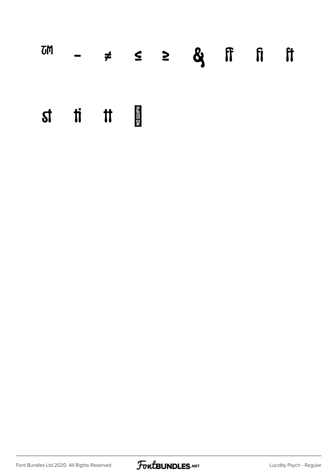## ™ − ≠ ≤ ≥ st ti tt 圖

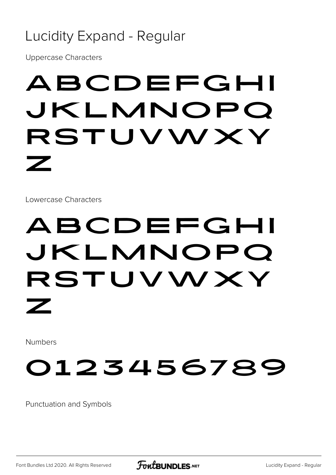#### Lucidity Expand - Regular

Uppercase Characters

## ABCDEFGHI JKLMNOPQ RSTUVWXY Z

Lowercase Characters

## ABCDEFGHI jklmnopq rstuvwxy z

Numbers

## 0123456789

Punctuation and Symbols

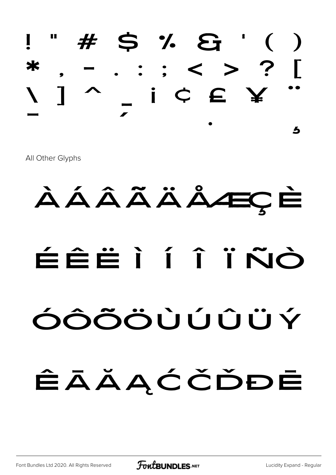

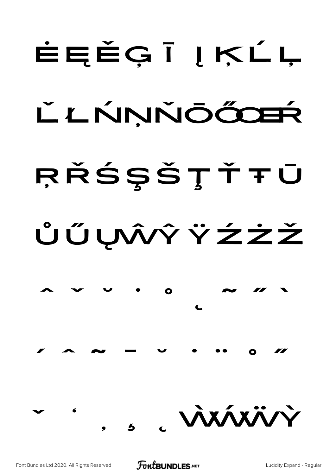# ĖĘĚĢĪĮĶĹĻ ĽLŃŅŇŌŐDEŔ RŘŚŞŠŢŤŦŪ ŮŰŲŴŶŸŹŻŽ  $\bullet$ VAXÁXÄV

**FoutBUNDLES**.NET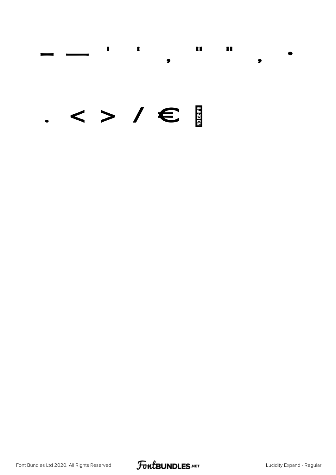#### $\blacksquare$  $\pmb{\mathbb{I}}$  $\blacksquare$  $\begin{array}{c} \rule{0pt}{2.5ex} \rule{0pt}{2.5ex} \rule{0pt}{2.5ex} \rule{0pt}{2.5ex} \rule{0pt}{2.5ex} \rule{0pt}{2.5ex} \rule{0pt}{2.5ex} \rule{0pt}{2.5ex} \rule{0pt}{2.5ex} \rule{0pt}{2.5ex} \rule{0pt}{2.5ex} \rule{0pt}{2.5ex} \rule{0pt}{2.5ex} \rule{0pt}{2.5ex} \rule{0pt}{2.5ex} \rule{0pt}{2.5ex} \rule{0pt}{2.5ex} \rule{0pt}{2.5ex} \rule{0pt}{2.5ex} \rule{0$  $\bullet$  $\bullet$

#### $\langle > / \in$

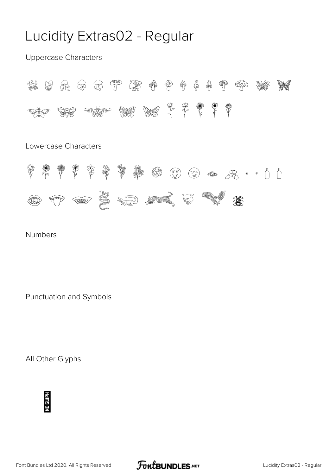#### Lucidity Extras02 - Regular

Uppercase Characters



Lowercase Characters



Numbers

Punctuation and Symbols



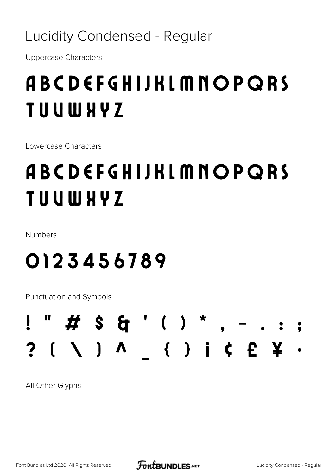Lucidity Condensed - Regular

**Uppercase Characters** 

## ABCDEFGHIJKLMNOPQRS **TUUWHYZ**

Lowercase Characters

## ABCDEFGHIJKLMNOPQRS **TUUWHYZ**

Numbers

### 0123456789

**Punctuation and Symbols** 

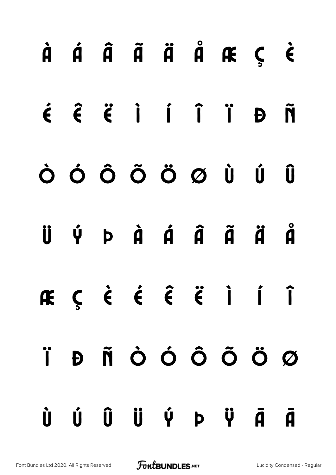|  |  | $\dot{A}$ $\dot{A}$ $\ddot{A}$ $\ddot{A}$ $\ddot{A}$ $\ddot{A}$ $\ddot{B}$ $\ddot{C}$ $\dot{C}$ |  |  |
|--|--|-------------------------------------------------------------------------------------------------|--|--|
|  |  | $\acute{\epsilon}$ $\acute{\epsilon}$ $\acute{\epsilon}$ i i i i $\acute{p}$ $\ddot{\tilde{n}}$ |  |  |
|  |  | ÒÓÔÕÖØÙÛ                                                                                        |  |  |
|  |  | Ü Ý Þ Ả Á Â Ã Ä Å                                                                               |  |  |
|  |  | ÆÇÈÉÊËÏÍÎ                                                                                       |  |  |
|  |  | Ï Đ Ñ Ò Ó Ô Õ Ö Ø                                                                               |  |  |
|  |  | Ù Ú Û Ü Ý Þ Ÿ Ā Ā                                                                               |  |  |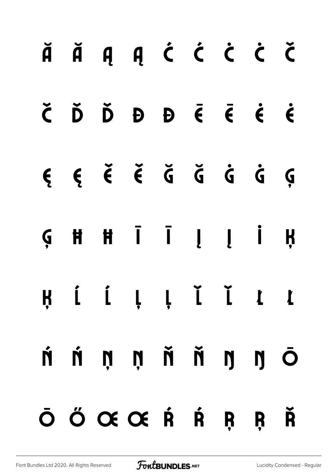|  | ĂĂĄĄĆ Ć Ċ Č                                                                                  |  |  |  |
|--|----------------------------------------------------------------------------------------------|--|--|--|
|  | $\check{C}$ $\check{D}$ $\check{D}$ $\theta$ $\check{D}$ $\check{C}$ $\check{C}$ $\check{C}$ |  |  |  |
|  |                                                                                              |  |  |  |
|  | $G \quad H \quad H \quad \bar{I} \quad I \quad I \quad \bar{I} \quad H$                      |  |  |  |
|  |                                                                                              |  |  |  |
|  | ń ń ņ ņ ň ň ŋ ŋ Ō                                                                            |  |  |  |
|  | Ō Ő Œ Œ Ŕ Ŕ Ŗ Ŗ Ř                                                                            |  |  |  |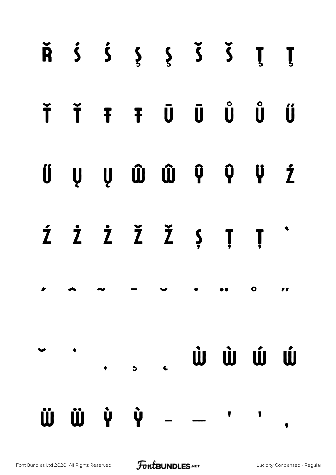|  |           | $\check{R}$ $\acute{S}$ $\acute{S}$ $\acute{S}$ $\acute{S}$ $\acute{S}$ $\acute{S}$ $\acute{S}$ |                       |                                                                                                                                                                                                                                      |                          |                         |
|--|-----------|-------------------------------------------------------------------------------------------------|-----------------------|--------------------------------------------------------------------------------------------------------------------------------------------------------------------------------------------------------------------------------------|--------------------------|-------------------------|
|  |           | Ť Ť Ŧ Ŧ Ū Ū Ů Ű Ű                                                                               |                       |                                                                                                                                                                                                                                      |                          |                         |
|  |           | Ű Ų Ų Ŵ Ŵ Ŷ Ŷ Ž                                                                                 |                       |                                                                                                                                                                                                                                      |                          |                         |
|  |           | Ź Ż Ż Ž Ž Ș Ț Ț                                                                                 |                       |                                                                                                                                                                                                                                      |                          |                         |
|  |           |                                                                                                 | $\blacktriangleright$ | <u>in the contract of the contract of the contract of the contract of the contract of the contract of the contract of the contract of the contract of the contract of the contract of the contract of the contract of the contra</u> | $\overline{\phantom{a}}$ |                         |
|  | $\bullet$ | $\bullet$                                                                                       | $\epsilon$            | Ù Ù Ú Ú                                                                                                                                                                                                                              |                          |                         |
|  | ÜÜ V Ý    |                                                                                                 |                       |                                                                                                                                                                                                                                      |                          | $\overline{\mathbf{z}}$ |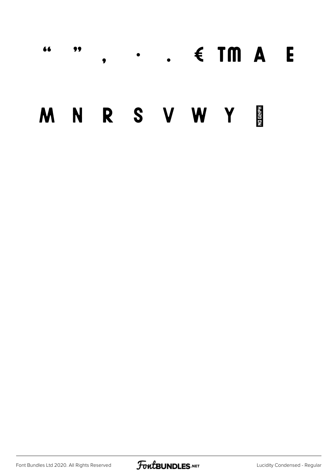#### $\cdot$  .  $\cdot$  TM A E 66 99  $\bullet$

#### M N R S V W Y H

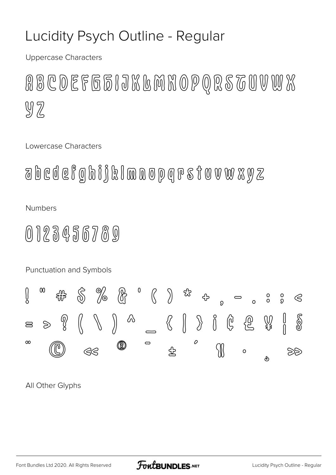#### Lucidity Psych Outline - Regular

**Uppercase Characters** 

RBCDEFG51JKGMHOPQRSTUVWX  $92$ 

Lowercase Characters

 $\partial\Omega$  b c d e f g h i j k l m n o p q r s t o v w  $\chi$  y  $\chi$ 

**Numbers** 

#### 0123456789

Punctuation and Symbols

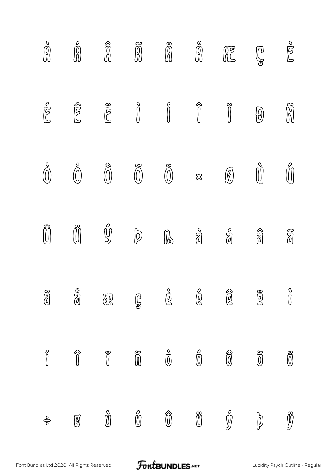| $\frac{\delta}{\delta}$ | $\begin{bmatrix} 0 \\ 0 \\ 0 \end{bmatrix}$          | $\begin{matrix} \widehat{\mathbb{C}} \\ \widehat{\mathbb{C}} \end{matrix} \end{matrix}$ | $\widetilde{\widehat{\mathbb{Q}}}$ |                                                                                              | $\overset{\circ}{\textbf{0}}$                   | $\begin{picture}(40,40) \put(0,0){\line(1,0){155}} \put(15,0){\line(1,0){155}} \put(15,0){\line(1,0){155}} \put(15,0){\line(1,0){155}} \put(15,0){\line(1,0){155}} \put(15,0){\line(1,0){155}} \put(15,0){\line(1,0){155}} \put(15,0){\line(1,0){155}} \put(15,0){\line(1,0){155}} \put(15,0){\line(1,0){155}} \put(15,0){\line(1,0){155}} \$ | $\mathbb{Q}$                                                                          | polo                                 |
|-------------------------|------------------------------------------------------|-----------------------------------------------------------------------------------------|------------------------------------|----------------------------------------------------------------------------------------------|-------------------------------------------------|-----------------------------------------------------------------------------------------------------------------------------------------------------------------------------------------------------------------------------------------------------------------------------------------------------------------------------------------------|---------------------------------------------------------------------------------------|--------------------------------------|
| polo                    | $\widehat{\mathbb{C}}$                               | <b>SOS</b>                                                                              |                                    | $\begin{matrix} \circ & \circ & \circ & \circ \\ \circ & \circ & \circ & \circ \end{matrix}$ |                                                 |                                                                                                                                                                                                                                                                                                                                               | $\bigcirc \hspace{-3.5mm} \bigcirc \hspace{-3.5mm} \bigcirc \hspace{-3.5mm} \bigcirc$ | Ñ                                    |
| $\bigodot^\circ$        | $\bigcirc$                                           | $\widehat{\widehat{\mathbb{O}}}$                                                        | $\widetilde{\mathbb{O}}$           | $\bigcirc$ $\otimes$                                                                         |                                                 | $\circledB$                                                                                                                                                                                                                                                                                                                                   | $\bigcirc^{\circ}$                                                                    |                                      |
| $\widehat{\mathbb{O}}$  | $\widetilde{\textbf{U}}$                             | $\bigcirc\hspace{-3.5mm}\bigcirc$                                                       | $\bigcirc$                         | ß                                                                                            | $\frac{\partial}{\partial \theta}$              | $\begin{matrix} 0 \\ 0 \end{matrix}$                                                                                                                                                                                                                                                                                                          | $\widehat{\mathbb{Z}}$                                                                | $\widetilde{\mathbb{Z}}$             |
| $\frac{8}{0}$           |                                                      | $\widetilde{\mathbb{C}}$                                                                | 60                                 | $\mathring{\mathbb{Q}}$                                                                      | $\overset{\circ}{\mathbb{Q}}$                   | $\widehat{\textcircled{\small{2}}}$                                                                                                                                                                                                                                                                                                           | $\widetilde{\mathbb{Q}}$                                                              | $\int\limits_{0}^{0}$                |
| $\int\limits_{0}^{2}$   | $\begin{matrix} \uparrow \\ \downarrow \end{matrix}$ | $\begin{matrix} 8 \\ 1 \end{matrix}$                                                    | $\widetilde{\widehat{\mathbb{D}}}$ | $\int\limits_{0}^{2}$                                                                        | $\overset{\circ}{\textcircled{\scriptsize{1}}}$ | $\widehat{\textbf{0}}$                                                                                                                                                                                                                                                                                                                        | $\widetilde{\textbf{0}}$                                                              | $\overline{\textcircled{\small{0}}}$ |
| த்                      | Ø                                                    | $\overset{\circ}{\mathbb{O}}$                                                           | ő                                  | $\widehat{\textbf{0}}$                                                                       | $\widetilde{\textbf{C}}$                        | $\hat{\mathbb{Y}}$                                                                                                                                                                                                                                                                                                                            | စြ                                                                                    | Ø                                    |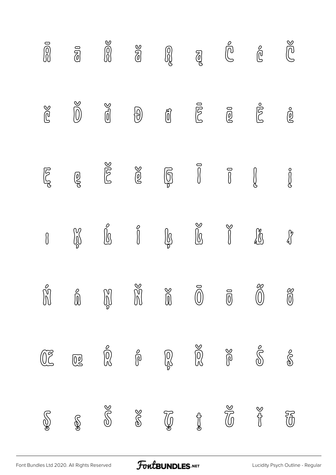| $\overline{a}$                                                                                                                          | $\overline{\mathbb{Z}}$                             | 200                                         | SIG                                                          |                 | $\partial_{\mathcal{C}}$                                                                                                                                                                                                                                                                                                                                                                                                                                                                                                            | $\bigoplus^{\!\!\!\!o}$                                                                                                        | $\overset{\circ}{\mathbb{C}}$               | Ca                                                                                                                                                                                                                                                                                                                                                                                                                               |
|-----------------------------------------------------------------------------------------------------------------------------------------|-----------------------------------------------------|---------------------------------------------|--------------------------------------------------------------|-----------------|-------------------------------------------------------------------------------------------------------------------------------------------------------------------------------------------------------------------------------------------------------------------------------------------------------------------------------------------------------------------------------------------------------------------------------------------------------------------------------------------------------------------------------------|--------------------------------------------------------------------------------------------------------------------------------|---------------------------------------------|----------------------------------------------------------------------------------------------------------------------------------------------------------------------------------------------------------------------------------------------------------------------------------------------------------------------------------------------------------------------------------------------------------------------------------|
| $\mathbb{C}$                                                                                                                            | Ŏ                                                   | $\sum_{i=1}^{n}$                            | $\bigcirc \hspace{-3.5mm} \bigcirc \hspace{-3.5mm} \bigcirc$ | $\widehat{[0]}$ | $\overline{\mathbb{C}}$                                                                                                                                                                                                                                                                                                                                                                                                                                                                                                             | $\tilde{\mathbb{Q}}$                                                                                                           | <b>POO</b>                                  | ஜீ                                                                                                                                                                                                                                                                                                                                                                                                                               |
| FOR                                                                                                                                     | ම්                                                  | Done                                        | $\frac{1}{2}$                                                | $\mathbb{G}$    |                                                                                                                                                                                                                                                                                                                                                                                                                                                                                                                                     | $\sqrt{2}$                                                                                                                     | $\int\!\!\!\!\!\!\int$                      |                                                                                                                                                                                                                                                                                                                                                                                                                                  |
| $\boldsymbol{\theta}$                                                                                                                   |                                                     | $\int\limits_0^{\infty}$                    | $\begin{bmatrix} 0 \\ 0 \\ 0 \end{bmatrix}$                  | $\mathbb{R}$    | $\begin{matrix} \mathbb{C} \setminus \mathbb{C} \setminus \mathbb{C} \setminus \mathbb{C} \setminus \mathbb{C} \setminus \mathbb{C} \setminus \mathbb{C} \setminus \mathbb{C} \setminus \mathbb{C} \setminus \mathbb{C} \setminus \mathbb{C} \setminus \mathbb{C} \setminus \mathbb{C} \setminus \mathbb{C} \setminus \mathbb{C} \setminus \mathbb{C} \setminus \mathbb{C} \setminus \mathbb{C} \setminus \mathbb{C} \setminus \mathbb{C} \setminus \mathbb{C} \setminus \mathbb{C} \setminus \mathbb{C} \setminus \mathbb{C} \set$ | $\begin{matrix} \mathcal{S} & \mathcal{S} & \mathcal{S} \\ \mathcal{S} & \mathcal{S} & \mathcal{S} & \mathcal{S} \end{matrix}$ | U                                           | $\begin{matrix} \textbf{1} & \textbf{1} & \textbf{1} & \textbf{1} & \textbf{1} & \textbf{1} & \textbf{1} & \textbf{1} & \textbf{1} & \textbf{1} & \textbf{1} & \textbf{1} & \textbf{1} & \textbf{1} & \textbf{1} & \textbf{1} & \textbf{1} & \textbf{1} & \textbf{1} & \textbf{1} & \textbf{1} & \textbf{1} & \textbf{1} & \textbf{1} & \textbf{1} & \textbf{1} & \textbf{1} & \textbf{1} & \textbf{1} & \textbf{1} & \textbf{1$ |
| $\bigcirc \hspace{-3.5mm} \bigcirc \hspace{-3.5mm} \bigcirc \hspace{-3.5mm} \bigcirc \hspace{-3.5mm} \bigcirc \hspace{-3.5mm} \bigcirc$ | $\bigcirc \hspace{-3.5mm} \bigcirc \hspace{-3.5mm}$ |                                             |                                                              |                 | $\vec{\textcircled{\small{0}}}$                                                                                                                                                                                                                                                                                                                                                                                                                                                                                                     | $\overline{\textbf{0}}$                                                                                                        | $\begin{pmatrix} 0 \\ 0 \\ 0 \end{pmatrix}$ | $\begin{matrix} 0 \\ 0 \end{matrix}$                                                                                                                                                                                                                                                                                                                                                                                             |
| $\widetilde{\mathbb{C}}$                                                                                                                | $\overline{\mathbb{Q}}$                             | $\begin{bmatrix} 0 \\ 0 \\ 0 \end{bmatrix}$ | $\int\limits_0^\infty$                                       |                 |                                                                                                                                                                                                                                                                                                                                                                                                                                                                                                                                     | $\frac{1}{2}$                                                                                                                  | $\mathcal{S}$                               | $\frac{1}{\sqrt{2}}$                                                                                                                                                                                                                                                                                                                                                                                                             |
| SOP                                                                                                                                     | R                                                   | SUS                                         | $\frac{1}{\sqrt{2}}$                                         | $\mathbb{Z}$    | $\mathscr{E}$                                                                                                                                                                                                                                                                                                                                                                                                                                                                                                                       | $\mathbb{Z}$                                                                                                                   | <b>School</b>                               | $\widetilde{\mathbb{G}}$                                                                                                                                                                                                                                                                                                                                                                                                         |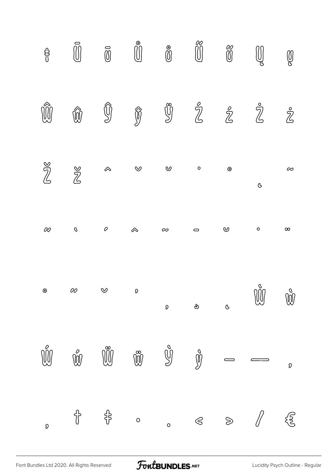

FoutBUNDLES.NET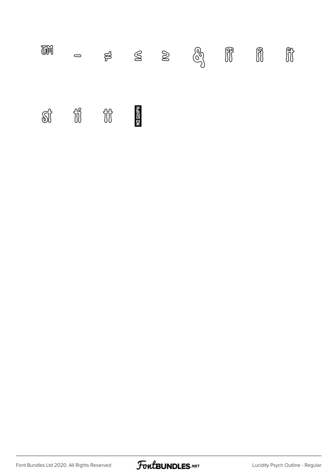| T | $\Box$ |                         |  | $\sharp$ $\leq$ $\geq$ $\circledcirc_{\!\!3}^{\!\!3}$ $\circledcirc_{\!\!1}^{\!\!3}$ if if |  |  |
|---|--------|-------------------------|--|--------------------------------------------------------------------------------------------|--|--|
|   |        | si ii ii <mark>E</mark> |  |                                                                                            |  |  |

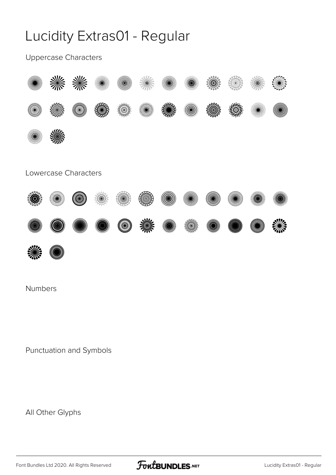#### Lucidity Extras01 - Regular

Uppercase Characters



#### Lowercase Characters





Numbers

Punctuation and Symbols